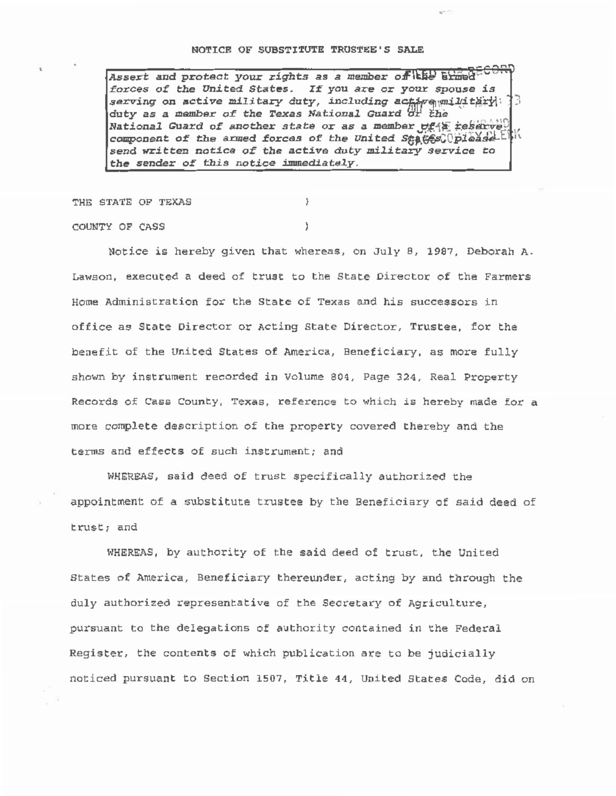## NOTICE OF SUBSTITUTE TRUSTEE'S SALE

Assert and protect your *rights* as a member of the atmod<sup>-CO</sup> forc es or the *United* States. *It!* you are or your spouse *is*  serving on active military duty, *including active military* : ) duty as a member of the Texas National Guard  $\partial f$  the National Guard of another state or as a member  $v f f$  reserve? component of the armed forces of the *United States*: please E h send written notice of the active duty military service to the sender of this notice immediately.

THE STATE OF TEXAS

COUNTY OF CASS

Notice is hereby given that whereas, on July B, 1987, Deborah A. Lawson, executed a deed of trust to the State Director of the Farmers Home Administration for the State of Texas and his successors in office as State Director or Acting State Director, Trustee, for the benefit of the United States of America, Beneficiary, as more fully shown by instrument recorded in Volume 804, Page 324, Real Property Records of Cass County, Texas, reference to which is hereby made for a more complete description of the property covered thereby and the terms and effects of such instrument; and

WHEREAS, said deed of trust specifically authorized the appointment of a substitute trustee by the Beneficiary of said deed of trust; and

WHEREAS, by authority of the said deed of trust, the United States of America, Beneficiary thereunder, acting by and through the duly authorized representative of the Secretary of Agriculture, pursuant to the delegations of authority contained in the Federal Register, the contents of which publication are to be judicially noticed pursuant to Section 1507, Title 44 , United States Code, did on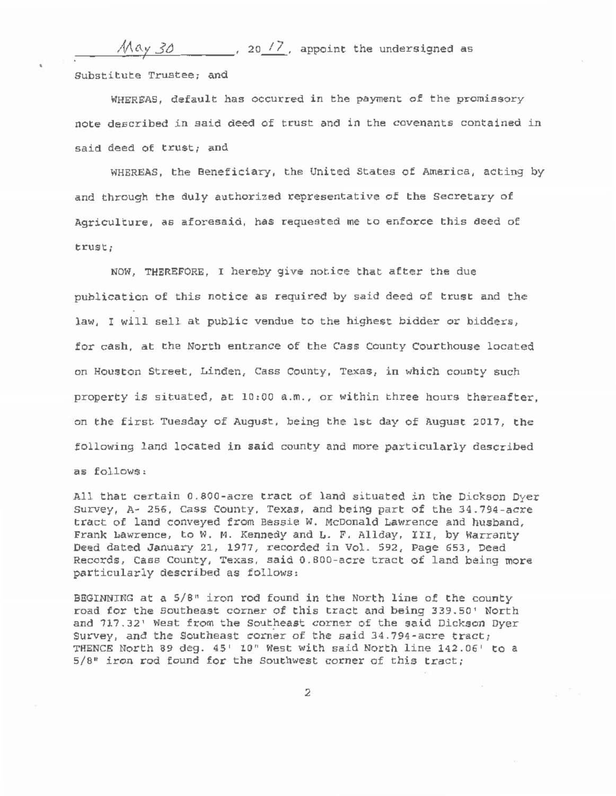$\mathcal{M}$ ay 30  $\sim$  , 20  $/2$ , appoint the undersigned as Substitute Trustee; and

WHEREAS, default has occurred in the payment of the promissory note described in said deed of trust and in the covenants contained in said deed of trust; and

WHEREAS, the Beneficiary, the United States of America, acting by and through the duly authorized representative of the Secretary of Agriculture, as aforesaid, has requested me to enforce this deed of trust;

NOW, THEREFORE, I hereby give notice that after the due publication of this notice as required by said deed of trust and the law, I will sell at public vendue to the highest bidder or bidders, for cash, at the North entrance of the Cass County Courthouse located on Houston Street, Linden, Cass County, Texas, in which county such property is situated, at 10:00 a.m., or within three hours thereafter, on the first Tuesday of August, being the lst day of August 2017, the following land located in said county and more particularly described as follows,

All that certain 0.800-acre tract of land situated in the Dickson Oyer survey, A- 256, Cass County, Texas, and being part of the 34.794-acre tract of land conveyed from Bessie w. McDonald Lawrence and husband, Frank Lawrence, to W. M. Kennedy and L. F. Allday, III, by Warranty Deed dated January 21, 1977, recorded in Vol. 592, Page 653, Deed Records, Cass County, Texas, said 0.800-acre tract of land being more particularly described as follows:

BEGINNING at a  $5/8$ " iron rod found in the North line of the county road for the Southeast corner of this tract and being 339.50' North and 717.32' West from the Southeast corner of the said Dickson Dyer Survey, and the Southeast corner of the said  $34.794$ -acre tract; THENCE North 89 deg. 45' lO" West with said North line 142. 06' to a 5/8" iron rod found for the Southwest corner of this tract;

2